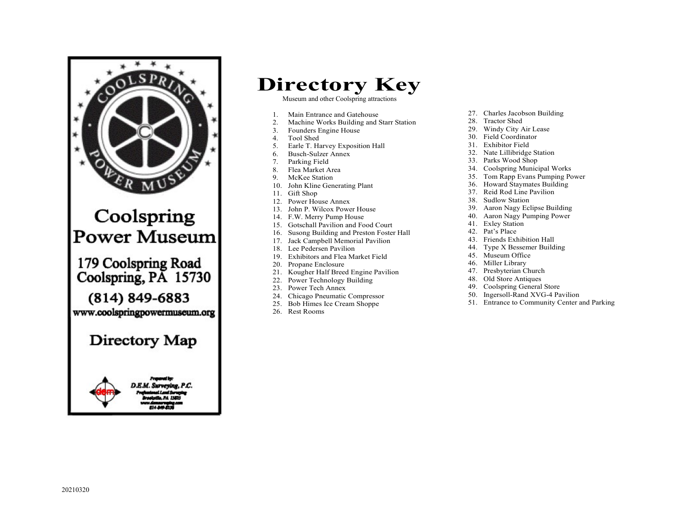

## Directory Key

Museum and other Coolspring attractions

- 1. Main Entrance and Gatehouse<br>2. Machine Works Building and
- Machine Works Building and Starr Station
- 3. Founders Engine House
- 4. Tool Shed
- 5. Earle T. Harvey Exposition Hall
- 6. Busch-Sulzer Annex
- 7. Parking Field
- 8. Flea Market Area
- 9. McKee Station
- 10. John Kline Generating Plant
- 11. Gift Shop
- 12. Power House Annex
- 13. John P. Wilcox Power House
- 14. F.W. Merry Pump House
- 15. Gotschall Pavilion and Food Court
- 16. Susong Building and Preston Foster Hall
- 17. Jack Campbell Memorial Pavilion
- 18. Lee Pedersen Pavilion
- 19. Exhibitors and Flea Market Field
- 20. Propane Enclosure
- 21. Kougher Half Breed Engine Pavilion
- 22. Power Technology Building
- 23. Power Tech Annex
- 24. Chicago Pneumatic Compressor<br>25. Bob Himes Ice Cream Shoppe
- Bob Himes Ice Cream Shoppe
- 26. Rest Rooms
- 27. Charles Jacobson Building
- 28. Tractor Shed
- 29. Windy City Air Lease
- 30. Field Coordinator
- 31. Exhibitor Field
- 32. Nate Lillibridge Station
- 33. Parks Wood Shop
- 34. Coolspring Municipal Works
- 35. Tom Rapp Evans Pumping Power
- 36. Howard Staymates Building
- 37. Reid Rod Line Pavilion
- 38. Sudlow Station
- 39. Aaron Nagy Eclipse Building
- 40. Aaron Nagy Pumping Power
- 41. Exley Station
- 42. Pat's Place
- 43. Friends Exhibition Hall
- 44. Type X Bessemer Building
- 45. Museum Office
- 46. Miller Library
- 47. Presbyterian Church
- 48. Old Store Antiques
- 49. Coolspring General Store
- 50. Ingersoll-Rand XVG-4 Pavilion
- 51. Entrance to Community Center and Parking